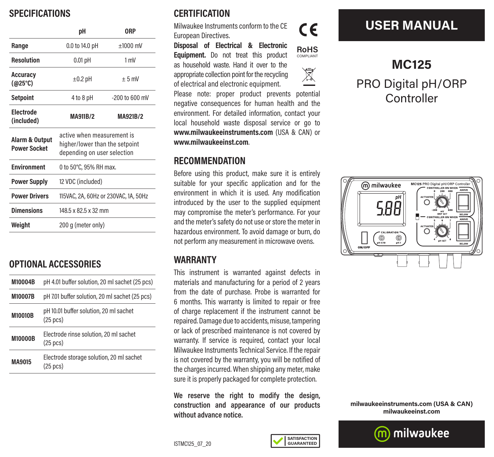### **SPECIFICATIONS**

|                                       | рH                                                                                          | 0RP              |
|---------------------------------------|---------------------------------------------------------------------------------------------|------------------|
| Range                                 | 0.0 to 14.0 pH                                                                              | $±1000$ mV       |
| <b>Resolution</b>                     | $0.01$ pH                                                                                   | 1 mV             |
| <b>Accuracy</b><br>(@25°C)            | $\pm 0.2$ pH                                                                                | $+5$ mV          |
| <b>Setpoint</b>                       | 4 to 8 pH                                                                                   | $-200$ to 600 mV |
| <b>Electrode</b><br>(included)        | MA911B/2                                                                                    | MA921B/2         |
| Alarm & Output<br><b>Power Socket</b> | active when measurement is<br>higher/lower than the setpoint<br>depending on user selection |                  |
| <b>Environment</b>                    | 0 to 50°C, 95% RH max.                                                                      |                  |
| <b>Power Supply</b>                   | 12 VDC (included)                                                                           |                  |
| <b>Power Drivers</b>                  | 115VAC, 2A, 60Hz or 230VAC, 1A, 50Hz                                                        |                  |
| <b>Dimensions</b>                     | 148.5 x 82.5 x 32 mm                                                                        |                  |
| Weight                                | 200 g (meter only)                                                                          |                  |

### **OPTIONAL ACCESSORIES**

| M10004B        | pH 4.01 buffer solution, 20 ml sachet (25 pcs)                 |  |
|----------------|----------------------------------------------------------------|--|
| <b>M10007B</b> | pH 7.01 buffer solution, 20 ml sachet (25 pcs)                 |  |
| <b>M10010B</b> | pH 10.01 buffer solution, 20 ml sachet<br>$(25 \text{ pcs})$   |  |
| <b>M10000B</b> | Electrode rinse solution, 20 ml sachet<br>$(25 \text{ pcs})$   |  |
| MA9015         | Electrode storage solution, 20 ml sachet<br>$(25 \text{ pcs})$ |  |

## **CERTIFICATION**

Milwaukee Instruments conform to the CE European Directives.

**Disposal of Electrical & Electronic Equipment.** Do not treat this product as household waste. Hand it over to the appropriate collection point for the recycling of electrical and electronic equipment.





Please note: proper product prevents potential negative consequences for human health and the environment. For detailed information, contact your local household waste disposal service or go to **www.milwaukeeinstruments.com** (USA & CAN) or **www.milwaukeeinst.com**.

#### **RECOMMENDATION**

Before using this product, make sure it is entirely suitable for your specific application and for the environment in which it is used. Any modification introduced by the user to the supplied equipment may compromise the meter's performance. For your and the meter's safety do not use or store the meter in hazardous environment. To avoid damage or burn, do not perform any measurement in microwave ovens.

### **WARRANTY**

This instrument is warranted against defects in materials and manufacturing for a period of 2 years from the date of purchase. Probe is warranted for 6 months. This warranty is limited to repair or free of charge replacement if the instrument cannot be repaired. Damage due to accidents, misuse, tampering or lack of prescribed maintenance is not covered by warranty. If service is required, contact your local Milwaukee Instruments Technical Service. If the repair is not covered by the warranty, you will be notified of the charges incurred. When shipping any meter, make sure it is properly packaged for complete protection.

**We reserve the right to modify the design, construction and appearance of our products without advance notice.**

# **USER MANUAL**

# **MC125** PRO Digital pH/ORP Controller



**milwaukeeinstruments.com (USA & CAN) milwaukeeinst.com**